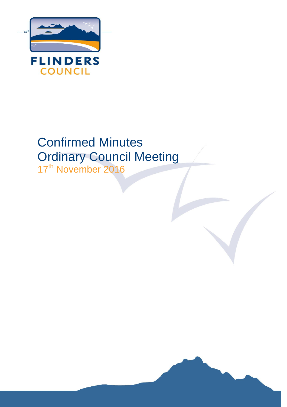

# Confirmed Minutes Ordinary Council Meeting

17<sup>th</sup> November 2016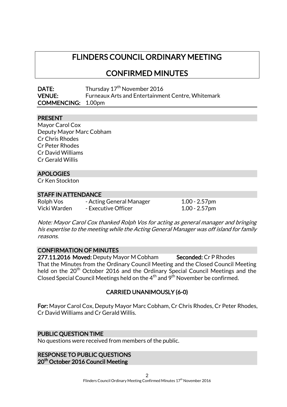# FLINDERS COUNCIL ORDINARY MEETING

CONFIRMED MINUTES

| DATE:                     | Thursday 17 <sup>th</sup> November 2016           |
|---------------------------|---------------------------------------------------|
| <b>VENUE:</b>             | Furneaux Arts and Entertainment Centre, Whitemark |
| <b>COMMENCING: 1.00pm</b> |                                                   |

### PRESENT

Mayor Carol Cox Deputy Mayor Marc Cobham Cr Chris Rhodes Cr Peter Rhodes Cr David Williams Cr Gerald Willis

### APOLOGIES

Cr Ken Stockton

### STAFF IN ATTENDANCE

Rolph Vos - Acting General Manager 1.00 - 2.57pm Vicki Warden - Executive Officer 1.00 - 2.57pm

Note: Mayor Carol Cox thanked Rolph Vos for acting as general manager and bringing his expertise to the meeting while the Acting General Manager was off island for family reasons.

### CONFIRMATION OF MINUTES

277.11.2016 Moved: Deputy Mayor M Cobham Seconded: Cr P Rhodes That the Minutes from the Ordinary Council Meeting and the Closed Council Meeting held on the 20<sup>th</sup> October 2016 and the Ordinary Special Council Meetings and the Closed Special Council Meetings held on the  $4<sup>th</sup>$  and  $9<sup>th</sup>$  November be confirmed.

### CARRIED UNANIMOUSLY (6-0)

For: Mayor Carol Cox, Deputy Mayor Marc Cobham, Cr Chris Rhodes, Cr Peter Rhodes, Cr David Williams and Cr Gerald Willis.

### PUBLIC QUESTION TIME

No questions were received from members of the public.

RESPONSE TO PUBLIC QUESTIONS 20<sup>th</sup> October 2016 Council Meeting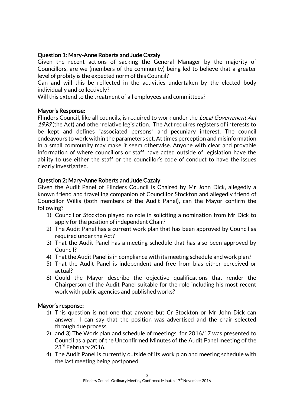### Question 1: Mary-Anne Roberts and Jude Cazaly

Given the recent actions of sacking the General Manager by the majority of Councillors, are we (members of the community) being led to believe that a greater level of probity is the expected norm of this Council?

Can and will this be reflected in the activities undertaken by the elected body individually and collectively?

Will this extend to the treatment of all employees and committees?

### Mayor's Response:

Flinders Council, like all councils, is required to work under the Local Government Act 1993 (the Act) and other relative legislation. The Act requires registers of interests to be kept and defines "associated persons" and pecuniary interest. The council endeavours to work within the parameters set. At times perception and misinformation in a small community may make it seem otherwise. Anyone with clear and provable information of where councillors or staff have acted outside of legislation have the ability to use either the staff or the councillor's code of conduct to have the issues clearly investigated.

### Question 2: Mary-Anne Roberts and Jude Cazaly

Given the Audit Panel of Flinders Council is Chaired by Mr John Dick, allegedly a known friend and travelling companion of Councillor Stockton and allegedly friend of Councillor Willis (both members of the Audit Panel), can the Mayor confirm the following?

- 1) Councillor Stockton played no role in soliciting a nomination from Mr Dick to apply for the position of independent Chair?
- 2) The Audit Panel has a current work plan that has been approved by Council as required under the Act?
- 3) That the Audit Panel has a meeting schedule that has also been approved by Council?
- 4) That the Audit Panel is in compliance with its meeting schedule and work plan?
- 5) That the Audit Panel is independent and free from bias either perceived or actual?
- 6) Could the Mayor describe the objective qualifications that render the Chairperson of the Audit Panel suitable for the role including his most recent work with public agencies and published works?

### Mayor's response:

- 1) This question is not one that anyone but Cr Stockton or Mr John Dick can answer. I can say that the position was advertised and the chair selected through due process.
- 2) and 3) The Work plan and schedule of meetings for 2016/17 was presented to Council as a part of the Unconfirmed Minutes of the Audit Panel meeting of the 23<sup>rd</sup> February 2016.
- 4) The Audit Panel is currently outside of its work plan and meeting schedule with the last meeting being postponed.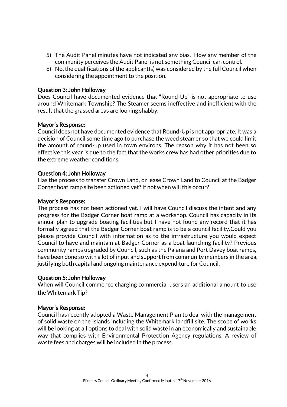- 5) The Audit Panel minutes have not indicated any bias. How any member of the community perceives the Audit Panel is not something Council can control.
- 6) No, the qualifications of the applicant(s) was considered by the full Council when considering the appointment to the position.

### Question 3: John Holloway

Does Council have documented evidence that "Round-Up" is not appropriate to use around Whitemark Township? The Steamer seems ineffective and inefficient with the result that the grassed areas are looking shabby.

### Mayor's Response:

Council does not have documented evidence that Round-Up is not appropriate. It was a decision of Council some time ago to purchase the weed steamer so that we could limit the amount of round-up used in town environs. The reason why it has not been so effective this year is due to the fact that the works crew has had other priorities due to the extreme weather conditions.

### Question 4: John Holloway

Has the process to transfer Crown Land, or lease Crown Land to Council at the Badger Corner boat ramp site been actioned yet? If not when will this occur?

### Mayor's Response:

The process has not been actioned yet. I will have Council discuss the intent and any progress for the Badger Corner boat ramp at a workshop. Council has capacity in its annual plan to upgrade boating facilities but I have not found any record that it has formally agreed that the Badger Corner boat ramp is to be a council facility.Could you please provide Council with information as to the infrastructure you would expect Council to have and maintain at Badger Corner as a boat launching facility? Previous community ramps upgraded by Council, such as the Palana and Port Davey boat ramps, have been done so with a lot of input and support from community members in the area, justifying both capital and ongoing maintenance expenditure for Council.

### Question 5: John Holloway

When will Council commence charging commercial users an additional amount to use the Whitemark Tip?

### Mayor's Response:

Council has recently adopted a Waste Management Plan to deal with the management of solid waste on the Islands including the Whitemark landfill site. The scope of works will be looking at all options to deal with solid waste in an economically and sustainable way that complies with Environmental Protection Agency regulations. A review of waste fees and charges will be included in the process.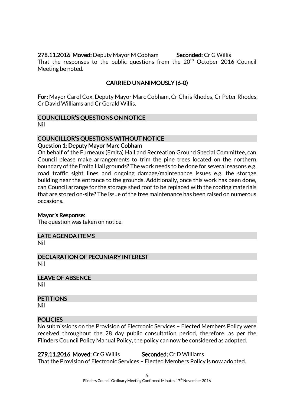### 278.11.2016 Moved: Deputy Mayor M Cobham Seconded: Cr G Willis

That the responses to the public questions from the 20<sup>th</sup> October 2016 Council Meeting be noted.

### CARRIED UNANIMOUSLY (6-0)

For: Mayor Carol Cox, Deputy Mayor Marc Cobham, Cr Chris Rhodes, Cr Peter Rhodes, Cr David Williams and Cr Gerald Willis.

# COUNCILLOR'S QUESTIONS ON NOTICE

Nil

### COUNCILLOR'S QUESTIONS WITHOUT NOTICE

### Question 1: Deputy Mayor Marc Cobham

On behalf of the Furneaux (Emita) Hall and Recreation Ground Special Committee, can Council please make arrangements to trim the pine trees located on the northern boundary of the Emita Hall grounds? The work needs to be done for several reasons e.g. road traffic sight lines and ongoing damage/maintenance issues e.g. the storage building near the entrance to the grounds. Additionally, once this work has been done, can Council arrange for the storage shed roof to be replaced with the roofing materials that are stored on-site? The issue of the tree maintenance has been raised on numerous occasions.

### Mayor's Response:

The question was taken on notice.

### LATE AGENDA ITEMS

Nil

DECLARATION OF PECUNIARY INTEREST Nil

LEAVE OF ABSENCE

Nil

### **PETITIONS**

Nil

### **POLICIES**

No submissions on the Provision of Electronic Services – Elected Members Policy were received throughout the 28 day public consultation period, therefore, as per the Flinders Council Policy Manual Policy, the policy can now be considered as adopted.

279.11.2016 Moved: Cr G Willis Seconded: Cr D Williams That the Provision of Electronic Services – Elected Members Policy is now adopted.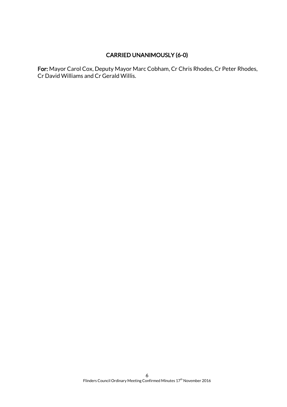### CARRIED UNANIMOUSLY (6-0)

For: Mayor Carol Cox, Deputy Mayor Marc Cobham, Cr Chris Rhodes, Cr Peter Rhodes, Cr David Williams and Cr Gerald Willis.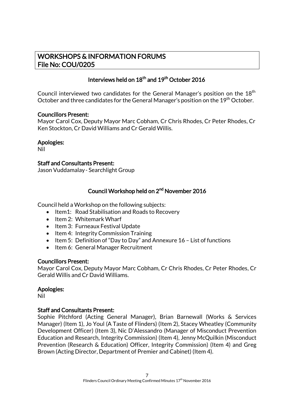### WORKSHOPS & INFORMATION FORUMS File No: COU/0205

### Interviews held on  $18^{th}$  and  $19^{th}$  October 2016

Council interviewed two candidates for the General Manager's position on the 18<sup>th</sup> October and three candidates for the General Manager's position on the 19<sup>th</sup> October.

### Councillors Present:

Mayor Carol Cox, Deputy Mayor Marc Cobham, Cr Chris Rhodes, Cr Peter Rhodes, Cr Ken Stockton, Cr David Williams and Cr Gerald Willis.

### Apologies:

Nil

### Staff and Consultants Present:

Jason Vuddamalay- Searchlight Group

### Council Workshop held on 2<sup>nd</sup> November 2016

Council held a Workshop on the following subjects:

- Item1: Road Stabilisation and Roads to Recovery
- $\bullet$  Item 2: Whitemark Wharf
- Item 3: Furneaux Festival Update
- Item 4: Integrity Commission Training
- Item 5: Definition of "Day to Day" and Annexure 16 List of functions
- Item 6: General Manager Recruitment

### Councillors Present:

Mayor Carol Cox, Deputy Mayor Marc Cobham, Cr Chris Rhodes, Cr Peter Rhodes, Cr Gerald Willis and Cr David Williams.

### Apologies:

Nil

### Staff and Consultants Present:

Sophie Pitchford (Acting General Manager), Brian Barnewall (Works & Services Manager) (Item 1), Jo Youl (A Taste of Flinders) (Item 2), Stacey Wheatley (Community Development Officer) (Item 3), Nic D'Alessandro (Manager of Misconduct Prevention Education and Research, Integrity Commission) (Item 4), Jenny McQuilkin (Misconduct Prevention (Research & Education) Officer, Integrity Commission) (Item 4) and Greg Brown (Acting Director, Department of Premier and Cabinet) (Item 4).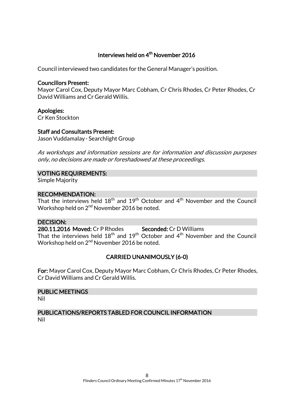### Interviews held on 4<sup>th</sup> November 2016

Council interviewed two candidates for the General Manager's position.

#### Councillors Present:

Mayor Carol Cox, Deputy Mayor Marc Cobham, Cr Chris Rhodes, Cr Peter Rhodes, Cr David Williams and Cr Gerald Willis.

### Apologies:

Cr Ken Stockton

### Staff and Consultants Present:

Jason Vuddamalay- Searchlight Group

As workshops and information sessions are for information and discussion purposes only, no decisions are made or foreshadowed at these proceedings.

### VOTING REQUIREMENTS:

Simple Majority

#### RECOMMENDATION:

That the interviews held  $18^{th}$  and  $19^{th}$  October and  $4^{th}$  November and the Council Workshop held on 2<sup>nd</sup> November 2016 be noted.

### DECISION:

280.11.2016 Moved: Cr P Rhodes Seconded: Cr D Williams That the interviews held  $18<sup>th</sup>$  and  $19<sup>th</sup>$  October and  $4<sup>th</sup>$  November and the Council Workshop held on 2<sup>nd</sup> November 2016 be noted.

### CARRIED UNANIMOUSLY (6-0)

For: Mayor Carol Cox, Deputy Mayor Marc Cobham, Cr Chris Rhodes, Cr Peter Rhodes, Cr David Williams and Cr Gerald Willis.

# PUBLIC MEETINGS

Nil

### PUBLICATIONS/REPORTS TABLED FOR COUNCIL INFORMATION Nil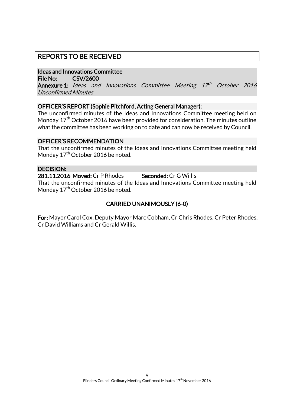### REPORTS TO BE RECEIVED

### Ideas and Innovations Committee

File No: CSV/2600

**Annexure 1:** Ideas and Innovations Committee Meeting 17<sup>th</sup> October 2016 Unconfirmed Minutes

### OFFICER'S REPORT (Sophie Pitchford, Acting General Manager):

The unconfirmed minutes of the Ideas and Innovations Committee meeting held on Monday 17<sup>th</sup> October 2016 have been provided for consideration. The minutes outline what the committee has been working on to date and can now be received by Council.

### OFFICER'S RECOMMENDATION

That the unconfirmed minutes of the Ideas and Innovations Committee meeting held Monday 17<sup>th</sup> October 2016 be noted.

### DECISION:

281.11.2016 Moved: Cr P Rhodes Seconded: Cr G Willis That the unconfirmed minutes of the Ideas and Innovations Committee meeting held Monday 17<sup>th</sup> October 2016 be noted.

### CARRIED UNANIMOUSLY (6-0)

For: Mayor Carol Cox, Deputy Mayor Marc Cobham, Cr Chris Rhodes, Cr Peter Rhodes, Cr David Williams and Cr Gerald Willis.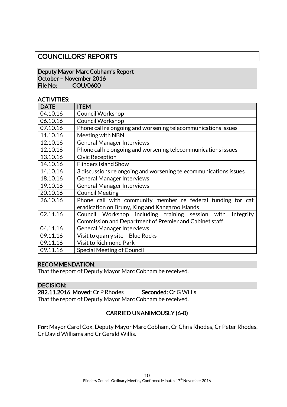### COUNCILLORS' REPORTS

#### Deputy Mayor Marc Cobham's Report October – November 2016 File No: COU/0600

### ACTIVITIES:

| <b>DATE</b> | <b>ITEM</b>                                                      |
|-------------|------------------------------------------------------------------|
| 04.10.16    | <b>Council Workshop</b>                                          |
| 06.10.16    | <b>Council Workshop</b>                                          |
| 07.10.16    | Phone call re ongoing and worsening telecommunications issues    |
| 11.10.16    | Meeting with NBN                                                 |
| 12.10.16    | <b>General Manager Interviews</b>                                |
| 12.10.16    | Phone call re ongoing and worsening telecommunications issues    |
| 13.10.16    | <b>Civic Reception</b>                                           |
| 14.10.16    | <b>Flinders Island Show</b>                                      |
| 14.10.16    | 3 discussions re ongoing and worsening telecommunications issues |
| 18.10.16    | <b>General Manager Interviews</b>                                |
| 19.10.16    | <b>General Manager Interviews</b>                                |
| 20.10.16    | <b>Council Meeting</b>                                           |
| 26.10.16    | Phone call with community member re federal funding for cat      |
|             | eradication on Bruny, King and Kangaroo Islands                  |
| 02.11.16    | Council Workshop including training session<br>with<br>Integrity |
|             | Commission and Department of Premier and Cabinet staff           |
| 04.11.16    | <b>General Manager Interviews</b>                                |
| 09.11.16    | Visit to quarry site - Blue Rocks                                |
| 09.11.16    | <b>Visit to Richmond Park</b>                                    |
| 09.11.16    | Special Meeting of Council                                       |

### RECOMMENDATION:

That the report of Deputy Mayor Marc Cobham be received.

#### DECISION:

282.11.2016 Moved: Cr P Rhodes Seconded: Cr G Willis That the report of Deputy Mayor Marc Cobham be received.

### CARRIED UNANIMOUSLY (6-0)

For: Mayor Carol Cox, Deputy Mayor Marc Cobham, Cr Chris Rhodes, Cr Peter Rhodes, Cr David Williams and Cr Gerald Willis.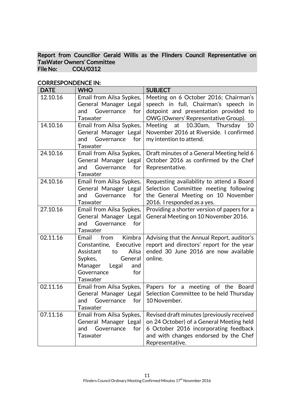Report from Councillor Gerald Willis as the Flinders Council Representative on TasWater Owners' Committee<br>File No: COU/0312 COU/0312

| <b>DATE</b> | <b>WHO</b>                                                                                                                                                      | <b>SUBJECT</b>                                                                                                                                                                              |
|-------------|-----------------------------------------------------------------------------------------------------------------------------------------------------------------|---------------------------------------------------------------------------------------------------------------------------------------------------------------------------------------------|
| 12.10.16    | Email from Ailsa Sypkes,<br>General Manager Legal<br>for<br>and<br>Governance<br><b>Taswater</b>                                                                | Meeting on 6 October 2016; Chairman's<br>speech in full, Chairman's speech<br>in<br>dotpoint and presentation provided to<br>OWG (Owners' Representative Group).                            |
| 14.10.16    | Email from Ailsa Sypkes,<br>General Manager Legal<br>Governance<br>and<br>for<br>Taswater                                                                       | at 10.30am, Thursday<br>Meeting<br>10<br>November 2016 at Riverside. I confirmed<br>my intention to attend.                                                                                 |
| 24.10.16    | Email from Ailsa Sypkes,<br>General Manager Legal<br>Governance<br>for<br>and<br>Taswater                                                                       | Draft minutes of a General Meeting held 6<br>October 2016 as confirmed by the Chef<br>Representative.                                                                                       |
| 24.10.16    | Email from Ailsa Sypkes,<br>General Manager Legal<br>Governance<br>for<br>and<br>Taswater                                                                       | Requesting availability to attend a Board<br>Selection Committee meeting following<br>the General Meeting on 10 November<br>2016. I responded as a yes.                                     |
| 27.10.16    | Email from Ailsa Sypkes,<br>General Manager Legal<br>Governance<br>for<br>and<br>Taswater                                                                       | Providing a shorter version of papers for a<br>General Meeting on 10 November 2016.                                                                                                         |
| 02.11.16    | Email<br>Kimbra<br>from<br>Constantine, Executive<br>Ailsa<br>Assistant<br>to<br>Sypkes,<br>General<br>Legal<br>Manager<br>and<br>Governance<br>for<br>Taswater | Advising that the Annual Report, auditor's<br>report and directors' report for the year<br>ended 30 June 2016 are now available<br>online.                                                  |
| 02.11.16    | Email from Ailsa Sypkes,<br>General Manager Legal<br>Governance<br>for<br>and<br>Taswater                                                                       | Papers for a meeting of the Board<br>Selection Committee to be held Thursday<br>10 November.                                                                                                |
| 07.11.16    | Email from Ailsa Sypkes,<br>General Manager Legal<br>Governance<br>for<br>and<br>Taswater                                                                       | Revised draft minutes (previously received<br>on 24 October) of a General Meeting held<br>6 October 2016 incorporating feedback<br>and with changes endorsed by the Chef<br>Representative. |

### CORRESPONDENCE IN: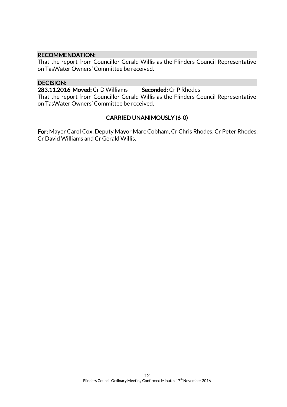### RECOMMENDATION:

That the report from Councillor Gerald Willis as the Flinders Council Representative on TasWater Owners' Committee be received.

### DECISION:

283.11.2016 Moved: Cr D Williams Seconded: Cr P Rhodes

That the report from Councillor Gerald Willis as the Flinders Council Representative on TasWater Owners' Committee be received.

### CARRIED UNANIMOUSLY (6-0)

For: Mayor Carol Cox, Deputy Mayor Marc Cobham, Cr Chris Rhodes, Cr Peter Rhodes, Cr David Williams and Cr Gerald Willis.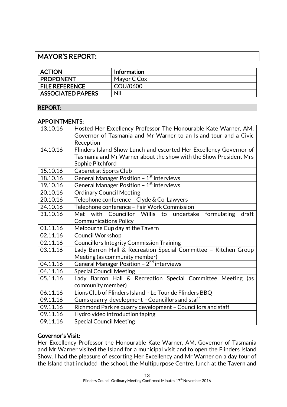### MAYOR'S REPORT:

| <b>ACTION</b>            | <b>Information</b> |
|--------------------------|--------------------|
| <b>PROPONENT</b>         | Mayor C Cox        |
| <b>FILE REFERENCE</b>    | COU/0600           |
| <b>ASSOCIATED PAPERS</b> | Nil                |

### REPORT:

### APPOINTMENTS:

| 13.10.16 | Hosted Her Excellency Professor The Honourable Kate Warner, AM,    |
|----------|--------------------------------------------------------------------|
|          | Governor of Tasmania and Mr Warner to an Island tour and a Civic   |
|          | Reception                                                          |
| 14.10.16 | Flinders Island Show Lunch and escorted Her Excellency Governor of |
|          | Tasmania and Mr Warner about the show with the Show President Mrs  |
|          | Sophie Pitchford                                                   |
| 15.10.16 | Cabaret at Sports Club                                             |
| 18.10.16 | General Manager Position - 1 <sup>st</sup> interviews              |
| 19.10.16 | General Manager Position - $1st$ interviews                        |
| 20.10.16 | <b>Ordinary Council Meeting</b>                                    |
| 20.10.16 | Telephone conference - Clyde & Co Lawyers                          |
| 24.10.16 | Telephone conference - Fair Work Commission                        |
| 31.10.16 | Met with Councillor Willis to undertake<br>formulating<br>draft    |
|          | <b>Communications Policy</b>                                       |
| 01.11.16 | Melbourne Cup day at the Tavern                                    |
| 02.11.16 | <b>Council Workshop</b>                                            |
| 02.11.16 | <b>Councillors Integrity Commission Training</b>                   |
| 03.11.16 | Lady Barron Hall & Recreation Special Committee - Kitchen Group    |
|          | Meeting (as community member)                                      |
| 04.11.16 | General Manager Position - 2 <sup>nd</sup> interviews              |
| 04.11.16 | <b>Special Council Meeting</b>                                     |
| 05.11.16 | Lady Barron Hall & Recreation Special Committee Meeting (as        |
|          | community member)                                                  |
| 06.11.16 | Lions Club of Flinders Island - Le Tour de Flinders BBQ            |
| 09.11.16 | Gums quarry development - Councillors and staff                    |
| 09.11.16 | Richmond Park re quarry development - Councillors and staff        |
| 09.11.16 | Hydro video introduction taping                                    |
| 09.11.16 | <b>Special Council Meeting</b>                                     |

### Governor's Visit:

Her Excellency Professor the Honourable Kate Warner, AM, Governor of Tasmania and Mr Warner visited the Island for a municipal visit and to open the Flinders Island Show. I had the pleasure of escorting Her Excellency and Mr Warner on a day tour of the Island that included the school, the Multipurpose Centre, lunch at the Tavern and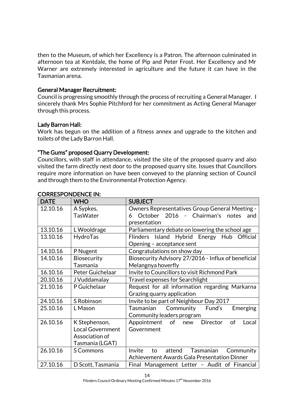then to the Museum, of which her Excellency is a Patron. The afternoon culminated in afternoon tea at Kentdale, the home of Pip and Peter Frost. Her Excellency and Mr Warner are extremely interested in agriculture and the future it can have in the Tasmanian arena.

### General Manager Recruitment:

Council is progressing smoothly through the process of recruiting a General Manager. I sincerely thank Mrs Sophie Pitchford for her commitment as Acting General Manager through this process.

### Lady Barron Hall:

Work has begun on the addition of a fitness annex and upgrade to the kitchen and toilets of the Lady Barron Hall.

### "The Gums" proposed Quarry Development:

Councillors, with staff in attendance, visited the site of the proposed quarry and also visited the farm directly next door to the proposed quarry site. Issues that Councillors require more information on have been conveyed to the planning section of Council and through them to the Environmental Protection Agency.

| <b>DATE</b> | <b>WHO</b>              | <b>SUBJECT</b>                                      |  |
|-------------|-------------------------|-----------------------------------------------------|--|
| 12.10.16    | A Sypkes,               | Owners Representatives Group General Meeting -      |  |
|             | <b>TasWater</b>         | October 2016 - Chairman's<br>notes<br>6<br>and      |  |
|             |                         | presentation                                        |  |
| 13.10.16    | L Wooldrage             | Parliamentary debate on lowering the school age     |  |
| 13.10.16    | HydroTas                | Island Hybrid Energy Hub Official<br>Flinders       |  |
|             |                         | Opening - acceptance sent                           |  |
| 14.10.16    | P Nugent                | Congratulations on show day                         |  |
| 14.10.16    | <b>Biosecurity</b>      | Biosecurity Advisory 27/2016 - Influx of beneficial |  |
|             | Tasmania                | Melangnya hoverfly                                  |  |
| 16.10.16    | Peter Guichelaar        | Invite to Councillors to visit Richmond Park        |  |
| 20.10.16    | J Vuddamalay            | Travel expenses for Searchlight                     |  |
| 21.10.16    | P Guichelaar            | Request for all information regarding Markarna      |  |
|             |                         | Grazing quarry application                          |  |
| 24.10.16    | S Robinson              | Invite to be part of Neighbour Day 2017             |  |
| 25.10.16    | L Mason                 | Tasmanian<br>Community<br>Fund's<br>Emerging        |  |
|             |                         | Community leaders program                           |  |
| 26.10.16    | K Stephenson,           | Appointment<br>Director<br>of<br>of<br>Local<br>new |  |
|             | <b>Local Government</b> | Government                                          |  |
|             | Association of          |                                                     |  |
|             | Tasmania (LGAT)         |                                                     |  |
| 26.10.16    | <b>S Commons</b>        | Invite<br>Tasmanian<br>attend<br>Community<br>to    |  |
|             |                         | Achievement Awards Gala Presentation Dinner         |  |
| 27.10.16    | D Scott, Tasmania       | Final Management Letter - Audit of Financial        |  |

### CORRESPONDENCE IN: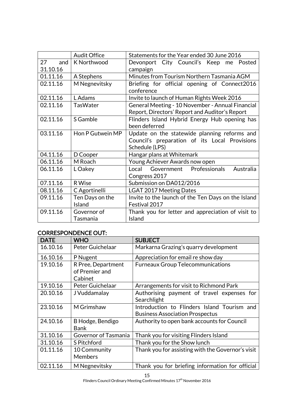|           | <b>Audit Office</b> | Statements for the Year ended 30 June 2016         |
|-----------|---------------------|----------------------------------------------------|
| 27<br>and | K Northwood         | Devonport City Council's Keep me<br>Posted         |
| 31.10.16  |                     | campaign                                           |
| 01.11.16  | A Stephens          | Minutes from Tourism Northern Tasmania AGM         |
| 02.11.16  | M Negnevitsky       | Briefing for official opening of Connect2016       |
|           |                     | conference                                         |
| 02.11.16  | L Adams             | Invite to launch of Human Rights Week 2016         |
| 02.11.16  | <b>TasWater</b>     | General Meeting - 10 November - Annual Financial   |
|           |                     | Report, Directors' Report and Auditor's Report     |
| 02.11.16  | S Gamble            | Flinders Island Hybrid Energy Hub opening has      |
|           |                     | been deferred                                      |
| 03.11.16  | Hon P Gutwein MP    | Update on the statewide planning reforms and       |
|           |                     | Council's preparation of its Local Provisions      |
|           |                     | Schedule (LPS)                                     |
| 04.11.16  | D Cooper            | Hangar plans at Whitemark                          |
| 06.11.16  | M Roach             | Young Achiever Awards now open                     |
| 06.11.16  | L Oakey             | Local Government Professionals<br>Australia        |
|           |                     | Congress 2017                                      |
| 07.11.16  | <b>R</b> Wise       | Submission on DA012/2016                           |
| 08.11.16  | C Agortinelli       | <b>LGAT 2017 Meeting Dates</b>                     |
| 09.11.16  | Ten Days on the     | Invite to the launch of the Ten Days on the Island |
|           | Island              | Festival 2017                                      |
| 09.11.16  | Governor of         | Thank you for letter and appreciation of visit to  |
|           | Tasmania            | Island                                             |

### CORRESPONDENCE OUT:

| <b>DATE</b> | <b>WHO</b>                                      | <b>SUBJECT</b>                                                                        |
|-------------|-------------------------------------------------|---------------------------------------------------------------------------------------|
| 16.10.16    | Peter Guichelaar                                | Markarna Grazing's quarry development                                                 |
| 16.10.16    | P Nugent                                        | Appreciation for email re show day                                                    |
| 19.10.16    | R Pree, Department<br>of Premier and<br>Cabinet | <b>Furneaux Group Telecommunications</b>                                              |
| 19.10.16    | Peter Guichelaar                                | Arrangements for visit to Richmond Park                                               |
| 20.10.16    | J Vuddamalay                                    | Authorising payment of travel expenses for<br>Searchlight                             |
| 23.10.16    | M Grimshaw                                      | Introduction to Flinders Island Tourism and<br><b>Business Association Prospectus</b> |
| 24.10.16    | B Hodge, Bendigo<br><b>Bank</b>                 | Authority to open bank accounts for Council                                           |
| 31.10.16    | Governor of Tasmania                            | Thank you for visiting Flinders Island                                                |
| 31.10.16    | S Pitchford                                     | Thank you for the Show lunch                                                          |
| 01.11.16    | 10 Community<br><b>Members</b>                  | Thank you for assisting with the Governor's visit                                     |
| 02.11.16    | M Negnevitsky                                   | Thank you for briefing information for official                                       |

15

Flinders Council Ordinary Meeting Confirmed Minutes  $17<sup>th</sup>$  November 2016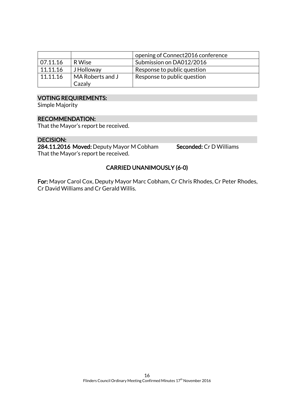|          |                  | opening of Connect 2016 conference |
|----------|------------------|------------------------------------|
| 07.11.16 | R Wise           | Submission on DA012/2016           |
| 11.11.16 | J Holloway       | Response to public question        |
| 11.11.16 | MA Roberts and J | Response to public question        |
|          | Cazaly           |                                    |

### VOTING REQUIREMENTS:

Simple Majority

#### RECOMMENDATION:

That the Mayor's report be received.

#### DECISION:

284.11.2016 Moved: Deputy Mayor M Cobham Seconded: Cr D Williams That the Mayor's report be received.

### CARRIED UNANIMOUSLY (6-0)

For: Mayor Carol Cox, Deputy Mayor Marc Cobham, Cr Chris Rhodes, Cr Peter Rhodes, Cr David Williams and Cr Gerald Willis.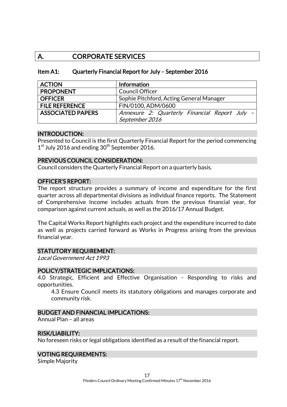### A. CORPORATE SERVICES

### Item A1: Quarterly Financial Report for July – September 2016

| <b>ACTION</b>            | Information                                   |
|--------------------------|-----------------------------------------------|
| <b>PROPONENT</b>         | <b>Council Officer</b>                        |
| <b>OFFICER</b>           | Sophie Pitchford, Acting General Manager      |
| <b>FILE REFERENCE</b>    | FIN/0100, ADM/0600                            |
| <b>ASSOCIATED PAPERS</b> | Annexure 2: Quarterly Financial Report July - |
|                          | September 2016                                |

### INTRODUCTION:

Presented to Council is the first Quarterly Financial Report for the period commencing 1<sup>st</sup> July 2016 and ending 30<sup>th</sup> September 2016.

### PREVIOUS COUNCIL CONSIDERATION:

Council considers the Quarterly Financial Report on a quarterly basis.

### OFFICER'S REPORT:

The report structure provides a summary of income and expenditure for the first quarter across all departmental divisions as individual finance reports. The Statement of Comprehensive Income includes actuals from the previous financial year, for comparison against current actuals, as well as the 2016/17 Annual Budget.

The Capital Works Report highlights each project and the expenditure incurred to date as well as projects carried forward as Works in Progress arising from the previous financial year.

### STATUTORY REQUIREMENT:

Local Government Act 1993

#### POLICY/STRATEGIC IMPLICATIONS:

4.0 Strategic, Efficient and Effective Organisation - Responding to risks and opportunities.

4.3 Ensure Council meets its statutory obligations and manages corporate and community risk.

### BUDGET AND FINANCIAL IMPLICATIONS:

Annual Plan – all areas

#### RISK/LIABILITY:

No foreseen risks or legal obligations identified as a result of the financial report.

### VOTING REQUIREMENTS:

Simple Majority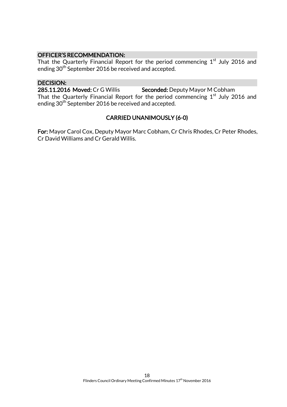### OFFICER'S RECOMMENDATION:

That the Quarterly Financial Report for the period commencing  $1^\mathrm{st}$  July 2016 and ending 30<sup>th</sup> September 2016 be received and accepted.

### DECISION:

285.11.2016 Moved: Cr G Willis Seconded: Deputy Mayor M Cobham

That the Quarterly Financial Report for the period commencing  $1<sup>st</sup>$  July 2016 and ending 30<sup>th</sup> September 2016 be received and accepted.

### CARRIED UNANIMOUSLY (6-0)

For: Mayor Carol Cox, Deputy Mayor Marc Cobham, Cr Chris Rhodes, Cr Peter Rhodes, Cr David Williams and Cr Gerald Willis.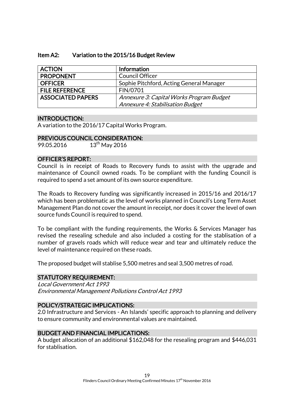### Item A2: Variation to the 2015/16 Budget Review

| <b>ACTION</b>            | <b>Information</b>                       |
|--------------------------|------------------------------------------|
| <b>PROPONENT</b>         | <b>Council Officer</b>                   |
| <b>OFFICER</b>           | Sophie Pitchford, Acting General Manager |
| <b>FILE REFERENCE</b>    | FIN/0701                                 |
| <b>ASSOCIATED PAPERS</b> | Annexure 3: Capital Works Program Budget |
|                          | Annexure 4: Stabilisation Budget         |

#### INTRODUCTION:

A variation to the 2016/17 Capital Works Program.

### PREVIOUS COUNCIL CONSIDERATION:

99.05.2016 13<sup>th</sup> May 2016

### OFFICER'S REPORT:

Council is in receipt of Roads to Recovery funds to assist with the upgrade and maintenance of Council owned roads. To be compliant with the funding Council is required to spend a set amount of its own source expenditure.

The Roads to Recovery funding was significantly increased in 2015/16 and 2016/17 which has been problematic as the level of works planned in Council's Long Term Asset Management Plan do not cover the amount in receipt, nor does it cover the level of own source funds Council is required to spend.

To be compliant with the funding requirements, the Works & Services Manager has revised the resealing schedule and also included a costing for the stablisation of a number of gravels roads which will reduce wear and tear and ultimately reduce the level of maintenance required on these roads.

The proposed budget will stablise 5,500 metres and seal 3,500 metres of road.

### STATUTORY REQUIREMENT:

Local Government Act 1993 Environmental Management Pollutions Control Act 1993

### POLICY/STRATEGIC IMPLICATIONS:

2.0 Infrastructure and Services - An Islands' specific approach to planning and delivery to ensure community and environmental values are maintained.

### BUDGET AND FINANCIAL IMPLICATIONS:

A budget allocation of an additional \$162,048 for the resealing program and \$446,031 for stablisation.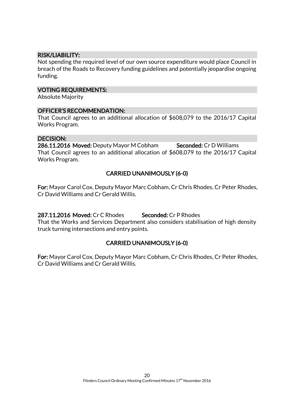### RISK/LIABILITY:

Not spending the required level of our own source expenditure would place Council in breach of the Roads to Recovery funding guidelines and potentially jeopardise ongoing funding.

### VOTING REQUIREMENTS:

Absolute Majority

### OFFICER'S RECOMMENDATION:

That Council agrees to an additional allocation of \$608,079 to the 2016/17 Capital Works Program.

### DECISION:

286.11.2016 Moved: Deputy Mayor M Cobham Seconded: Cr D Williams That Council agrees to an additional allocation of \$608,079 to the 2016/17 Capital Works Program.

### CARRIED UNANIMOUSLY (6-0)

For: Mayor Carol Cox, Deputy Mayor Marc Cobham, Cr Chris Rhodes, Cr Peter Rhodes, Cr David Williams and Cr Gerald Willis.

287.11.2016 Moved: Cr C Rhodes Seconded: Cr P Rhodes

That the Works and Services Department also considers stabilisation of high density truck turning intersections and entry points.

### CARRIED UNANIMOUSLY (6-0)

For: Mayor Carol Cox, Deputy Mayor Marc Cobham, Cr Chris Rhodes, Cr Peter Rhodes, Cr David Williams and Cr Gerald Willis.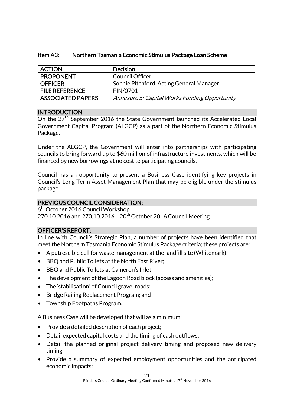| <b>ACTION</b>            | <b>Decision</b>                               |
|--------------------------|-----------------------------------------------|
| <b>PROPONENT</b>         | <b>Council Officer</b>                        |
| <b>OFFICER</b>           | Sophie Pitchford, Acting General Manager      |
| <b>FILE REFERENCE</b>    | FIN/0701                                      |
| <b>ASSOCIATED PAPERS</b> | Annexure 5: Capital Works Funding Opportunity |

### Item A3: Northern Tasmania Economic Stimulus Package Loan Scheme

### INTRODUCTION:

On the 27<sup>th</sup> September 2016 the State Government launched its Accelerated Local Government Capital Program (ALGCP) as a part of the Northern Economic Stimulus Package.

Under the ALGCP, the Government will enter into partnerships with participating councils to bring forward up to \$60 million of infrastructure investments, which will be financed by new borrowings at no cost to participating councils.

Council has an opportunity to present a Business Case identifying key projects in Council's Long Term Asset Management Plan that may be eligible under the stimulus package.

### PREVIOUS COUNCIL CONSIDERATION:

6<sup>th</sup> October 2016 Council Workshop 270.10.2016 and 270.10.2016 20<sup>th</sup> October 2016 Council Meeting

### OFFICER'S REPORT:

In line with Council's Strategic Plan, a number of projects have been identified that meet the Northern Tasmania Economic Stimulus Package criteria; these projects are:

- A putrescible cell for waste management at the landfill site (Whitemark);
- BBQ and Public Toilets at the North East River;
- BBQ and Public Toilets at Cameron's Inlet;
- The development of the Lagoon Road block (access and amenities);
- The 'stabilisation' of Council gravel roads;
- Bridge Railing Replacement Program; and
- Township Footpaths Program.

A Business Case will be developed that will as a minimum:

- Provide a detailed description of each project;
- Detail expected capital costs and the timing of cash outflows;
- Detail the planned original project delivery timing and proposed new delivery timing;
- Provide a summary of expected employment opportunities and the anticipated economic impacts;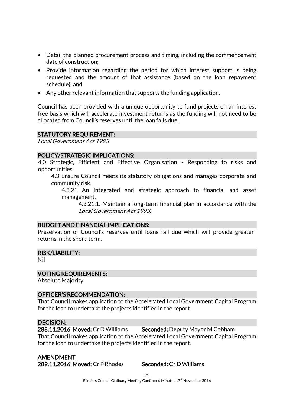- Detail the planned procurement process and timing, including the commencement date of construction;
- Provide information regarding the period for which interest support is being requested and the amount of that assistance (based on the loan repayment schedule); and
- Any other relevant information that supports the funding application.

Council has been provided with a unique opportunity to fund projects on an interest free basis which will accelerate investment returns as the funding will not need to be allocated from Council's reserves until the loan falls due.

### STATUTORY REQUIREMENT:

Local Government Act 1993

#### POLICY/STRATEGIC IMPLICATIONS:

4.0 Strategic, Efficient and Effective Organisation - Responding to risks and opportunities.

4.3 Ensure Council meets its statutory obligations and manages corporate and community risk.

4.3.21 An integrated and strategic approach to financial and asset management.

4.3.21.1. Maintain a long-term financial plan in accordance with the Local Government Act 1993.

### BUDGET AND FINANCIAL IMPLICATIONS:

Preservation of Council's reserves until loans fall due which will provide greater returns in the short-term.

#### RISK/LIABILITY:

Nil

### VOTING REQUIREMENTS:

Absolute Majority

#### OFFICER'S RECOMMENDATION:

That Council makes application to the Accelerated Local Government Capital Program for the loan to undertake the projects identified in the report.

### DECISION:

288.11.2016 Moved: Cr D Williams Seconded: Deputy Mayor M Cobham That Council makes application to the Accelerated Local Government Capital Program for the loan to undertake the projects identified in the report.

AMENDMENT 289.11.2016 Moved: Cr P Rhodes Seconded: Cr D Williams

 $22$ Flinders Council Ordinary Meeting Confirmed Minutes 17<sup>th</sup> November 2016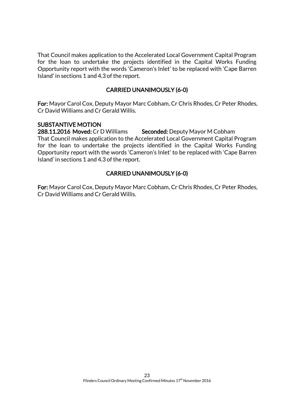That Council makes application to the Accelerated Local Government Capital Program for the loan to undertake the projects identified in the Capital Works Funding Opportunity report with the words 'Cameron's Inlet' to be replaced with 'Cape Barren Island' in sections 1 and 4.3 of the report.

### CARRIED UNANIMOUSLY (6-0)

For: Mayor Carol Cox, Deputy Mayor Marc Cobham, Cr Chris Rhodes, Cr Peter Rhodes, Cr David Williams and Cr Gerald Willis.

### SUBSTANTIVE MOTION

288.11.2016 Moved: Cr D Williams Seconded: Deputy Mayor M Cobham That Council makes application to the Accelerated Local Government Capital Program for the loan to undertake the projects identified in the Capital Works Funding Opportunity report with the words 'Cameron's Inlet' to be replaced with 'Cape Barren Island' in sections 1 and 4.3 of the report.

### CARRIED UNANIMOUSLY (6-0)

For: Mayor Carol Cox, Deputy Mayor Marc Cobham, Cr Chris Rhodes, Cr Peter Rhodes, Cr David Williams and Cr Gerald Willis.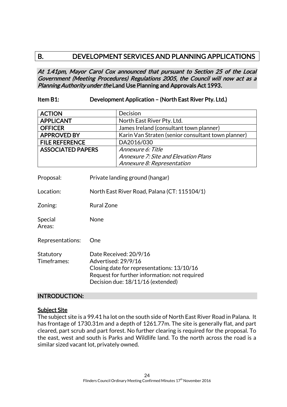### B. DEVELOPMENT SERVICES AND PLANNING APPLICATIONS

At 1.41pm, Mayor Carol Cox announced that pursuant to Section 25 of the Local Government (Meeting Procedures) Regulations 2005, the Council will now act as a Planning Authority under the Land Use Planning and Approvals Act 1993.

### Item B1: Development Application – (North East River Pty. Ltd.)

| <b>ACTION</b>            | Decision                                           |
|--------------------------|----------------------------------------------------|
| <b>APPLICANT</b>         | North East River Pty. Ltd.                         |
| <b>OFFICER</b>           | James Ireland (consultant town planner)            |
| <b>APPROVED BY</b>       | Karin Van Straten (senior consultant town planner) |
| <b>FILE REFERENCE</b>    | DA2016/030                                         |
| <b>ASSOCIATED PAPERS</b> | Annexure 6: Title                                  |
|                          | <b>Annexure 7: Site and Elevation Plans</b>        |
|                          | Annexure 8: Representation                         |

| Proposal:                | Private landing ground (hangar)                                                                                                                                                   |
|--------------------------|-----------------------------------------------------------------------------------------------------------------------------------------------------------------------------------|
| Location:                | North East River Road, Palana (CT: 115104/1)                                                                                                                                      |
| Zoning:                  | Rural Zone                                                                                                                                                                        |
| Special<br>Areas:        | None                                                                                                                                                                              |
| Representations:         | One                                                                                                                                                                               |
| Statutory<br>Timeframes: | Date Received: 20/9/16<br>Advertised: 29/9/16<br>Closing date for representations: 13/10/16<br>Request for further information: not required<br>Decision due: 18/11/16 (extended) |

### INTRODUCTION:

### Subject Site

The subject site is a 99.41 ha lot on the south side of North East River Road in Palana. It has frontage of 1730.31m and a depth of 1261.77m. The site is generally flat, and part cleared, part scrub and part forest. No further clearing is required for the proposal. To the east, west and south is Parks and Wildlife land. To the north across the road is a similar sized vacant lot, privately owned.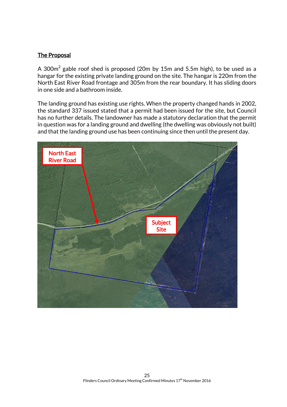### The Proposal

A 300 $\mathrm{m}^2$  gable roof shed is proposed (20m by 15m and 5.5m high), to be used as a hangar for the existing private landing ground on the site. The hangar is 220m from the North East River Road frontage and 305m from the rear boundary. It has sliding doors in one side and a bathroom inside.

The landing ground has existing use rights. When the property changed hands in 2002, the standard 337 issued stated that a permit had been issued for the site, but Council has no further details. The landowner has made a statutory declaration that the permit in question was for a landing ground and dwelling (the dwelling was obviously not built) and that the landing ground use has been continuing since then until the present day.

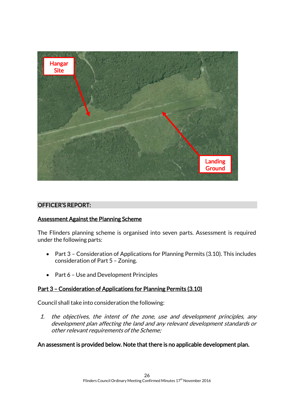

### OFFICER'S REPORT:

### Assessment Against the Planning Scheme

The Flinders planning scheme is organised into seven parts. Assessment is required under the following parts:

- Part 3 Consideration of Applications for Planning Permits (3.10). This includes consideration of Part 5 – Zoning.
- Part 6 Use and Development Principles

### Part 3 – Consideration of Applications for Planning Permits (3.10)

Council shall take into consideration the following:

1. the objectives, the intent of the zone, use and development principles, any development plan affecting the land and any relevant development standards or other relevant requirements of the Scheme;

### An assessment is provided below. Note that there is no applicable development plan.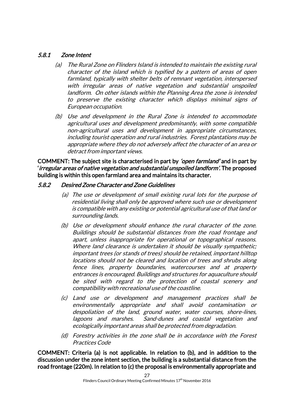### 5.8.1 Zone Intent

- (a) The Rural Zone on Flinders Island is intended to maintain the existing rural character of the island which is typified by a pattern of areas of open farmland, typically with shelter belts of remnant vegetation, interspersed with irregular areas of native vegetation and substantial unspoiled landform. On other islands within the Planning Area the zone is intended to preserve the existing character which displays minimal signs of European occupation.
- (b) Use and development in the Rural Zone is intended to accommodate agricultural uses and development predominantly, with some compatible non-agricultural uses and development in appropriate circumstances, including tourist operation and rural industries. Forest plantations may be appropriate where they do not adversely affect the character of an area or detract from important views.

COMMENT: The subject site is characterised in part by *'open farmland'* and in part by 'irregular areas of native vegetation and substantial unspoiled landform'. The proposed building is within this open farmland area and maintains its character.

### 5.8.2 Desired Zone Character and Zone Guidelines

- (a) The use or development of small existing rural lots for the purpose of residential living shall only be approved where such use or development is compatible with any existing or potential agricultural use of that land or surrounding lands.
- (b) Use or development should enhance the rural character of the zone. Buildings should be substantial distances from the road frontage and apart, unless inappropriate for operational or topographical reasons. Where land clearance is undertaken it should be visually sympathetic; important trees (or stands of trees) should be retained, important hilltop locations should not be cleared and location of trees and shrubs along fence lines, property boundaries, watercourses and at property entrances is encouraged. Buildings and structures for aquaculture should be sited with regard to the protection of coastal scenery and compatibility with recreational use of the coastline.
- (c) Land use or development and management practices shall be environmentally appropriate and shall avoid contamination or despoliation of the land, ground water, water courses, shore-lines, lagoons and marshes. Sand-dunes and coastal vegetation and ecologically important areas shall be protected from degradation.
- (d) Forestry activities in the zone shall be in accordance with the Forest Practices Code

COMMENT: Criteria (a) is not applicable. In relation to (b), and in addition to the discussion under the zone intent section, the building is a substantial distance from the road frontage (220m). In relation to (c) the proposal is environmentally appropriate and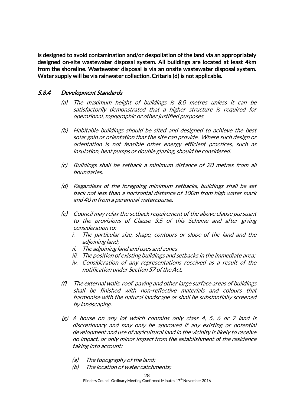is designed to avoid contamination and/or despoliation of the land via an appropriately designed on-site wastewater disposal system. All buildings are located at least 4km from the shoreline. Wastewater disposal is via an onsite wastewater disposal system. Water supply will be via rainwater collection. Criteria (d) is not applicable.

### 5.8.4 Development Standards

- (a) The maximum height of buildings is 8.0 metres unless it can be satisfactorily demonstrated that a higher structure is required for operational, topographic or other justified purposes.
- (b) Habitable buildings should be sited and designed to achieve the best solar gain or orientation that the site can provide. Where such design or orientation is not feasible other energy efficient practices, such as insulation, heat pumps or double glazing, should be considered.
- (c) Buildings shall be setback a minimum distance of 20 metres from all boundaries.
- (d) Regardless of the foregoing minimum setbacks, buildings shall be set back not less than a horizontal distance of 100m from high water mark and 40 m from a perennial watercourse.
- (e) Council may relax the setback requirement of the above clause pursuant to the provisions of Clause 3.5 of this Scheme and after giving consideration to:
	- i. The particular size, shape, contours or slope of the land and the adjoining land;
	- ii. The adjoining land and uses and zones
	- iii. The position of existing buildings and setbacks in the immediate area;
	- iv. Consideration of any representations received as a result of the notification under Section 57 of the Act.
- (f) The external walls, roof, paving and other large surface areas of buildings shall be finished with non-reflective materials and colours that harmonise with the natural landscape or shall be substantially screened by landscaping.
- $(g)$  A house on any lot which contains only class 4, 5, 6 or 7 land is discretionary and may only be approved if any existing or potential development and use of agricultural land in the vicinity is likely to receive no impact, or only minor impact from the establishment of the residence taking into account:
	- (a) The topography of the land;
	- (b) The location of water catchments;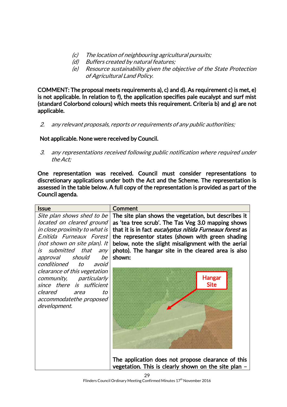- (c) The location of neighbouring agricultural pursuits;
- (d) Buffers created by natural features;
- (e) Resource sustainability given the objective of the State Protection of Agricultural Land Policy.

COMMENT: The proposal meets requirements a), c) and d). As requirement c) is met, e) is not applicable. In relation to f), the application specifies pale eucalypt and surf mist (standard Colorbond colours) which meets this requirement. Criteria b) and g) are not applicable.

2. any relevant proposals, reports or requirements of any public authorities;

### Not applicable. None were received by Council.

3. any representations received following public notification where required under the Act;

One representation was received. Council must consider representations to discretionary applications under both the Act and the Scheme. The representation is assessed in the table below. A full copy of the representation is provided as part of the Council agenda.

| <b>Issue</b>                  | Comment                                                 |
|-------------------------------|---------------------------------------------------------|
| Site plan shows shed to be    | The site plan shows the vegetation, but describes it    |
| located on cleared ground     | as 'tea tree scrub'. The Tas Veg 3.0 mapping shows      |
| in close proximity to what is | that it is in fact eucalyptus nitida Furneaux forest as |
| E.nitida Furneaux Forest      | the representor states (shown with green shading        |
| (not shown on site plan). It  | below, note the slight misalignment with the aerial     |
| is submitted that any         | photo). The hangar site in the cleared area is also     |
| approval should<br>be         | shown:                                                  |
| conditioned<br>to<br>avoid    |                                                         |
| clearance of this vegetation  |                                                         |
| community, particularly       | Hangar                                                  |
| since there is sufficient     | <b>Site</b>                                             |
| cleared<br>to<br>area         |                                                         |
| accommodatethe proposed       |                                                         |
| development.                  |                                                         |
|                               |                                                         |
|                               |                                                         |
|                               |                                                         |
|                               |                                                         |
|                               |                                                         |
|                               |                                                         |
|                               | The application does not propose clearance of this      |
|                               | vegetation. This is clearly shown on the site plan -    |

Flinders Council Ordinary Meeting Confirmed Minutes 17<sup>th</sup> November 2016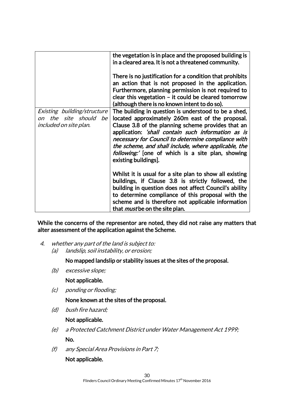|                                | the vegetation is in place and the proposed building is<br>in a cleared area. It is not a threatened community. |
|--------------------------------|-----------------------------------------------------------------------------------------------------------------|
|                                |                                                                                                                 |
|                                | There is no justification for a condition that prohibits                                                        |
|                                | an action that is not proposed in the application.                                                              |
|                                | Furthermore, planning permission is not required to                                                             |
|                                | clear this vegetation $-$ it could be cleared tomorrow                                                          |
|                                | (although there is no known intent to do so).                                                                   |
| Existing building/structure    | The building in question is understood to be a shed,                                                            |
| the site should be<br>$\Omega$ | located approximately 260m east of the proposal.                                                                |
| <i>included on site plan.</i>  | Clause 3.8 of the planning scheme provides that an                                                              |
|                                | application: 'shall contain such information as is                                                              |
|                                | necessary for Council to determine compliance with                                                              |
|                                | the scheme, and shall include, where applicable, the                                                            |
|                                | following:' [one of which is a site plan, showing                                                               |
|                                | existing buildings].                                                                                            |
|                                |                                                                                                                 |
|                                | Whilst it is usual for a site plan to show all existing                                                         |
|                                | buildings, if Clause 3.8 is strictly followed, the                                                              |
|                                | building in question does not affect Council's ability                                                          |
|                                | to determine compliance of this proposal with the                                                               |
|                                | scheme and is therefore not applicable information                                                              |
|                                | that <i>must</i> be on the site plan.                                                                           |
|                                |                                                                                                                 |

While the concerns of the representor are noted, they did not raise any matters that alter assessment of the application against the Scheme.

 4. whether any part of the land is subject to: (a) landslip, soil instability, or erosion;

No mapped landslip or stability issues at the sites of the proposal.

(b) excessive slope;

Not applicable.

(c) ponding or flooding;

None known at the sites of the proposal.

(d) bush fire hazard;

### Not applicable.

- (e) a Protected Catchment District under Water Management Act 1999; No.
- (f) any Special Area Provisions in Part 7;

### Not applicable.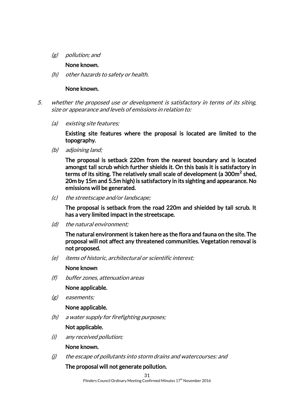(g) pollution; and

#### None known.

(h) other hazards to safety or health.

#### None known.

- 5. whether the proposed use or development is satisfactory in terms of its siting, size or appearance and levels of emissions in relation to:
	- (a) existing site features;

Existing site features where the proposal is located are limited to the topography.

(b) adjoining land;

The proposal is setback 220m from the nearest boundary and is located amongst tall scrub which further shields it. On this basis it is satisfactory in terms of its siting. The relatively small scale of development (a 300m $^2$  shed, 20m by 15m and 5.5m high) is satisfactory in its sighting and appearance. No emissions will be generated.

(c) the streetscape and/or landscape;

The proposal is setback from the road 220m and shielded by tall scrub. It has a very limited impact in the streetscape.

(d) the natural environment;

The natural environment is taken here as the flora and fauna on the site. The proposal will not affect any threatened communities. Vegetation removal is not proposed.

(e) items of historic, architectural or scientific interest;

#### None known

(f) buffer zones, attenuation areas

None applicable.

(g) easements;

### None applicable.

(h) a water supply for firefighting purposes;

### Not applicable.

(i) any received pollution;

#### None known.

(j) the escape of pollutants into storm drains and watercourses: and

### The proposal will not generate pollution.

Flinders Council Ordinary Meeting Confirmed Minutes 17<sup>th</sup> November 2016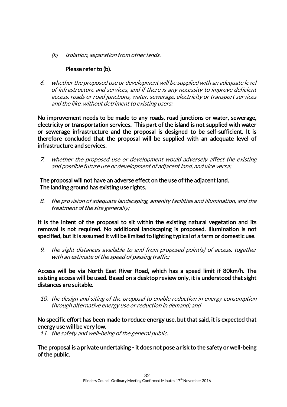(k) isolation, separation from other lands.

### Please refer to (b).

6. whether the proposed use or development will be supplied with an adequate level of infrastructure and services, and if there is any necessity to improve deficient access, roads or road junctions, water, sewerage, electricity or transport services and the like, without detriment to existing users;

No improvement needs to be made to any roads, road junctions or water, sewerage, electricity or transportation services. This part of the island is not supplied with water or sewerage infrastructure and the proposal is designed to be self-sufficient. It is therefore concluded that the proposal will be supplied with an adequate level of infrastructure and services.

7. whether the proposed use or development would adversely affect the existing and possible future use or development of adjacent land, and vice versa;

The proposal will not have an adverse effect on the use of the adjacent land. The landing ground has existing use rights.

8. the provision of adequate landscaping, amenity facilities and illumination, and the treatment of the site generally;

It is the intent of the proposal to sit within the existing natural vegetation and its removal is not required. No additional landscaping is proposed. Illumination is not specified, but it is assumed it will be limited to lighting typical of a farm or domestic use.

9. the sight distances available to and from proposed point(s) of access, together with an estimate of the speed of passing traffic;

Access will be via North East River Road, which has a speed limit if 80km/h. The existing access will be used. Based on a desktop review only, it is understood that sight distances are suitable.

10. the design and siting of the proposal to enable reduction in energy consumption through alternative energy use or reduction in demand; and

No specific effort has been made to reduce energy use, but that said, it is expected that energy use will be very low.

11. the safety and well-being of the general public.

The proposal is a private undertaking - it does not pose a risk to the safety or well-being of the public.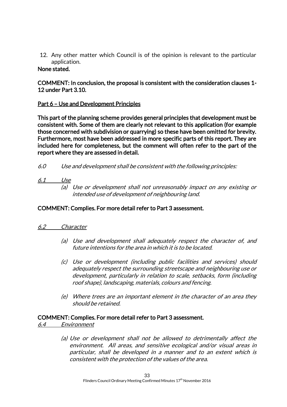12. Any other matter which Council is of the opinion is relevant to the particular application.

### None stated.

### COMMENT: In conclusion, the proposal is consistent with the consideration clauses 1- 12 under Part 3.10.

### Part 6 – Use and Development Principles

This part of the planning scheme provides general principles that development must be consistent with. Some of them are clearly not relevant to this application (for example those concerned with subdivision or quarrying) so these have been omitted for brevity. Furthermore, most have been addressed in more specific parts of this report. They are included here for completeness, but the comment will often refer to the part of the report where they are assessed in detail.

6.0 Use and development shall be consistent with the following principles:

### 6.1 Use

(a) Use or development shall not unreasonably impact on any existing or intended use of development of neighbouring land.

### COMMENT: Complies. For more detail refer to Part 3 assessment.

### 6.2 Character

- (a) Use and development shall adequately respect the character of, and future intentions for the area in which it is to be located.
- (c) Use or development (including public facilities and services) should adequately respect the surrounding streetscape and neighbouring use or development, particularly in relation to scale, setbacks, form (including roof shape), landscaping, materials, colours and fencing.
- (e) Where trees are an important element in the character of an area they should be retained.

### COMMENT: Complies. For more detail refer to Part 3 assessment.

- 6.4 Environment
	- (a) Use or development shall not be allowed to detrimentally affect the environment. All areas, and sensitive ecological and/or visual areas in particular, shall be developed in a manner and to an extent which is consistent with the protection of the values of the area.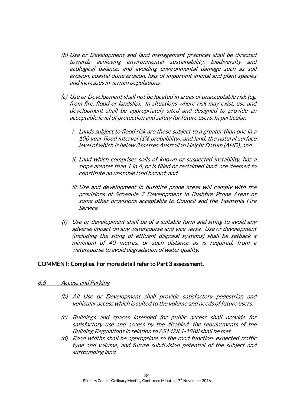- (b) Use or Development and land management practices shall be directed towards achieving environmental sustainability, biodiversity and ecological balance, and avoiding environmental damage such as soil erosion, coastal dune erosion, loss of important animal and plant species and increases in vermin populations.
- (c) Use or Development shall not be located in areas of unacceptable risk (eg. from fire, flood or landslip). In situations where risk may exist, use and development shall be appropriately sited and designed to provide an acceptable level of protection and safety for future users. In particular.
	- i. Lands subject to flood risk are those subject to a greater than one in a 100 year flood interval (1% probability), and land, the natural surface level of which is below 3 metres Australian Height Datum (AHD); and
	- ii. Land which comprises soils of known or suspected instability, has a slope greater than 1 in 4, or is filled or reclaimed land, are deemed to constitute an unstable land hazard; and
	- iii. Use and development in bushfire prone areas will comply with the provisions of Schedule 7 Development in Bushfire Prone Areas or some other provisions acceptable to Council and the Tasmania Fire Service.
- (f) Use or development shall be of a suitable form and siting to avoid any adverse impact on any watercourse and vice versa. Use or development (including the siting of effluent disposal systems) shall be setback a minimum of 40 metres, or such distance as is required, from a watercourse to avoid degradation of water quality.

### COMMENT: Complies. For more detail refer to Part 3 assessment.

#### 6.6 Access and Parking

- (b) All Use or Development shall provide satisfactory pedestrian and vehicular access which is suited to the volume and needs of future users.
- (c) Buildings and spaces intended for public access shall provide for satisfactory use and access by the disabled; the requirements of the Building Regulations in relation to AS1428.1-1988 shall be met.
- (d) Road widths shall be appropriate to the road function, expected traffic type and volume, and future subdivision potential of the subject and surrounding land.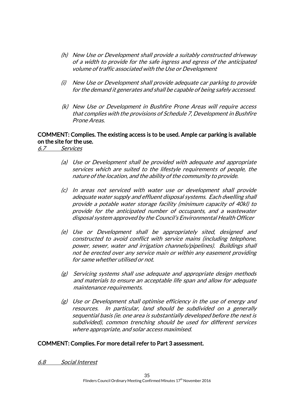- (h) New Use or Development shall provide a suitably constructed driveway of a width to provide for the safe ingress and egress of the anticipated volume of traffic associated with the Use or Development
- (i) New Use or Development shall provide adequate car parking to provide for the demand it generates and shall be capable of being safely accessed.
- (k) New Use or Development in Bushfire Prone Areas will require access that complies with the provisions of Schedule 7, Development in Bushfire Prone Areas.

### COMMENT: Complies. The existing access is to be used. Ample car parking is available on the site for the use.

6.7 Services

- (a) Use or Development shall be provided with adequate and appropriate services which are suited to the lifestyle requirements of people, the nature of the location, and the ability of the community to provide.
- (c) In areas not serviced with water use or development shall provide adequate water supply and effluent disposal systems. Each dwelling shall provide a potable water storage facility (minimum capacity of 40kl) to provide for the anticipated number of occupants, and a wastewater disposal system approved by the Council's Environmental Health Officer
- (e) Use or Development shall be appropriately sited, designed and constructed to avoid conflict with service mains (including telephone, power, sewer, water and irrigation channels/pipelines). Buildings shall not be erected over any service main or within any easement providing for same whether utilised or not.
- (g) Servicing systems shall use adequate and appropriate design methods and materials to ensure an acceptable life span and allow for adequate maintenance requirements.
- (g) Use or Development shall optimise efficiency in the use of energy and resources. In particular, land should be subdivided on a generally sequential basis (ie. one area is substantially developed before the next is subdivided), common trenching should be used for different services where appropriate, and solar access maximised.

### COMMENT: Complies. For more detail refer to Part 3 assessment.

6.8 Social Interest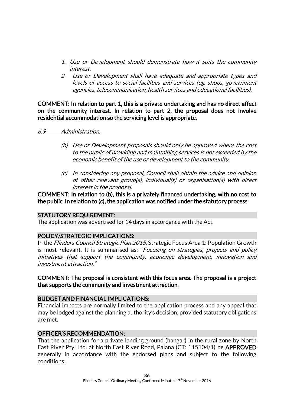- 1. Use or Development should demonstrate how it suits the community interest.
- 2. Use or Development shall have adequate and appropriate types and levels of access to social facilities and services (eg. shops, government agencies, telecommunication, health services and educational facilities).

COMMENT: In relation to part 1, this is a private undertaking and has no direct affect on the community interest. In relation to part 2, the proposal does not involve residential accommodation so the servicing level is appropriate.

#### 6.9 Administration.

- (b) Use or Development proposals should only be approved where the cost to the public of providing and maintaining services is not exceeded by the economic benefit of the use or development to the community.
- (c) In considering any proposal, Council shall obtain the advice and opinion of other relevant group(s), individual(s) or organisation(s) with direct interest in the proposal.

### COMMENT: In relation to (b), this is a privately financed undertaking, with no cost to the public. In relation to (c), the application was notified under the statutory process.

### STATUTORY REQUIREMENT:

The application was advertised for 14 days in accordance with the Act.

### POLICY/STRATEGIC IMPLICATIONS:

In the Flinders Council Strategic Plan 2015, Strategic Focus Area 1: Population Growth is most relevant. It is summarised as: "Focusing on strategies, projects and policy initiatives that support the community, economic development, innovation and investment attraction."

### COMMENT: The proposal is consistent with this focus area. The proposal is a project that supports the community and investment attraction.

### BUDGET AND FINANCIAL IMPLICATIONS:

Financial impacts are normally limited to the application process and any appeal that may be lodged against the planning authority's decision, provided statutory obligations are met.

### OFFICER'S RECOMMENDATION:

That the application for a private landing ground (hangar) in the rural zone by North East River Pty. Ltd. at North East River Road, Palana (CT: 115104/1) be APPROVED generally in accordance with the endorsed plans and subject to the following conditions: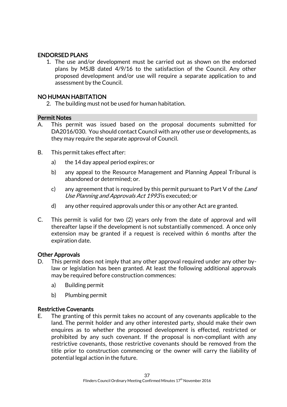### ENDORSED PLANS

1. The use and/or development must be carried out as shown on the endorsed plans by MSJB dated 4/9/16 to the satisfaction of the Council. Any other proposed development and/or use will require a separate application to and assessment by the Council.

### NO HUMAN HABITATION

2. The building must not be used for human habitation.

### Permit Notes

- A. This permit was issued based on the proposal documents submitted for DA2016/030. You should contact Council with any other use or developments, as they may require the separate approval of Council.
- B. This permit takes effect after:
	- a) the 14 day appeal period expires; or
	- b) any appeal to the Resource Management and Planning Appeal Tribunal is abandoned or determined; or.
	- c) any agreement that is required by this permit pursuant to Part V of the Land Use Planning and Approvals Act 1993 is executed; or
	- d) any other required approvals under this or any other Act are granted.
- C. This permit is valid for two (2) years only from the date of approval and will thereafter lapse if the development is not substantially commenced. A once only extension may be granted if a request is received within 6 months after the expiration date.

### Other Approvals

- D. This permit does not imply that any other approval required under any other bylaw or legislation has been granted. At least the following additional approvals may be required before construction commences:
	- a) Building permit
	- b) Plumbing permit

### Restrictive Covenants

E. The granting of this permit takes no account of any covenants applicable to the land. The permit holder and any other interested party, should make their own enquires as to whether the proposed development is effected, restricted or prohibited by any such covenant. If the proposal is non-compliant with any restrictive covenants, those restrictive covenants should be removed from the title prior to construction commencing or the owner will carry the liability of potential legal action in the future.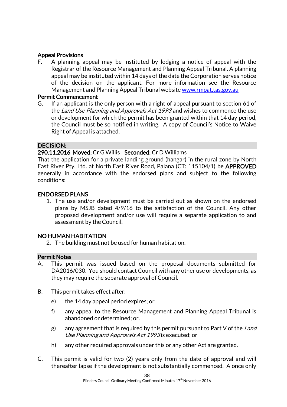### Appeal Provisions

F. A planning appeal may be instituted by lodging a notice of appeal with the Registrar of the Resource Management and Planning Appeal Tribunal. A planning appeal may be instituted within 14 days of the date the Corporation serves notice of the decision on the applicant. For more information see the Resource Management and Planning Appeal Tribunal website [www.rmpat.tas.gov.au](http://www.rmpat.tas.gov.au/)

### Permit Commencement

G. If an applicant is the only person with a right of appeal pursuant to section 61 of the Land Use Planning and Approvals Act 1993 and wishes to commence the use or development for which the permit has been granted within that 14 day period, the Council must be so notified in writing. A copy of Council's Notice to Waive Right of Appeal is attached.

### DECISION:

### 290.11.2016 Moved: Cr G Willis Seconded: Cr D Williams

That the application for a private landing ground (hangar) in the rural zone by North East River Pty. Ltd. at North East River Road, Palana (CT: 115104/1) be APPROVED generally in accordance with the endorsed plans and subject to the following conditions:

### ENDORSED PLANS

1. The use and/or development must be carried out as shown on the endorsed plans by MSJB dated 4/9/16 to the satisfaction of the Council. Any other proposed development and/or use will require a separate application to and assessment by the Council.

### NO HUMAN HABITATION

2. The building must not be used for human habitation.

### Permit Notes

- A. This permit was issued based on the proposal documents submitted for DA2016/030. You should contact Council with any other use or developments, as they may require the separate approval of Council.
- B. This permit takes effect after:
	- e) the 14 day appeal period expires; or
	- f) any appeal to the Resource Management and Planning Appeal Tribunal is abandoned or determined; or.
	- g) any agreement that is required by this permit pursuant to Part V of the Land Use Planning and Approvals Act 1993 is executed; or
	- h) any other required approvals under this or any other Act are granted.
- C. This permit is valid for two (2) years only from the date of approval and will thereafter lapse if the development is not substantially commenced. A once only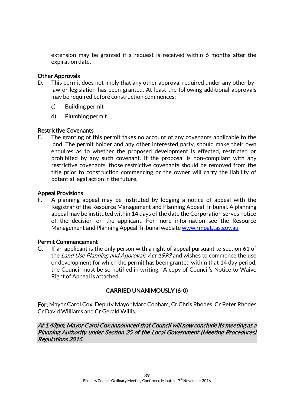extension may be granted if a request is received within 6 months after the expiration date.

### Other Approvals

- D. This permit does not imply that any other approval required under any other bylaw or legislation has been granted. At least the following additional approvals may be required before construction commences:
	- c) Building permit
	- d) Plumbing permit

### Restrictive Covenants

E. The granting of this permit takes no account of any covenants applicable to the land. The permit holder and any other interested party, should make their own enquires as to whether the proposed development is effected, restricted or prohibited by any such covenant. If the proposal is non-compliant with any restrictive covenants, those restrictive covenants should be removed from the title prior to construction commencing or the owner will carry the liability of potential legal action in the future.

### Appeal Provisions

F. A planning appeal may be instituted by lodging a notice of appeal with the Registrar of the Resource Management and Planning Appeal Tribunal. A planning appeal may be instituted within 14 days of the date the Corporation serves notice of the decision on the applicant. For more information see the Resource Management and Planning Appeal Tribunal website [www.rmpat.tas.gov.au](http://www.rmpat.tas.gov.au/)

### Permit Commencement

G. If an applicant is the only person with a right of appeal pursuant to section 61 of the Land Use Planning and Approvals Act 1993 and wishes to commence the use or development for which the permit has been granted within that 14 day period, the Council must be so notified in writing. A copy of Council's Notice to Waive Right of Appeal is attached.

### CARRIED UNANIMOUSLY (6-0)

For: Mayor Carol Cox, Deputy Mayor Marc Cobham, Cr Chris Rhodes, Cr Peter Rhodes, Cr David Williams and Cr Gerald Willis.

At 1.43pm, Mayor Carol Cox announced that Council will now conclude its meeting as a Planning Authority under Section 25 of the Local Government (Meeting Procedures) Regulations 2015.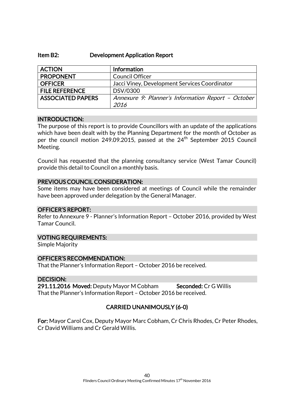#### Item B2: Development Application Report

| <b>ACTION</b>            | Information                                        |
|--------------------------|----------------------------------------------------|
| <b>PROPONENT</b>         | <b>Council Officer</b>                             |
| <b>OFFICER</b>           | Jacci Viney, Development Services Coordinator      |
| <b>FILE REFERENCE</b>    | DSV/0300                                           |
| <b>ASSOCIATED PAPERS</b> | Annexure 9: Planner's Information Report - October |
|                          | 2016                                               |

### INTRODUCTION:

The purpose of this report is to provide Councillors with an update of the applications which have been dealt with by the Planning Department for the month of October as per the council motion 249.09.2015, passed at the 24<sup>th</sup> September 2015 Council Meeting.

Council has requested that the planning consultancy service (West Tamar Council) provide this detail to Council on a monthly basis.

### PREVIOUS COUNCIL CONSIDERATION:

Some items may have been considered at meetings of Council while the remainder have been approved under delegation by the General Manager.

### OFFICER'S REPORT:

Refer to Annexure 9 - Planner's Information Report – October 2016, provided by West Tamar Council.

#### VOTING REQUIREMENTS:

Simple Majority

### OFFICER'S RECOMMENDATION:

That the Planner's Information Report – October 2016 be received.

### DECISION:

291.11.2016 Moved: Deputy Mayor M Cobham Seconded: Cr G Willis That the Planner's Information Report – October 2016 be received.

### CARRIED UNANIMOUSLY (6-0)

For: Mayor Carol Cox, Deputy Mayor Marc Cobham, Cr Chris Rhodes, Cr Peter Rhodes, Cr David Williams and Cr Gerald Willis.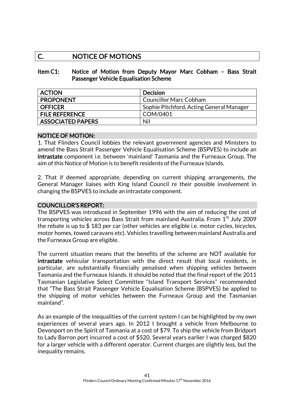### C. NOTICE OF MOTIONS

### Item C1: Notice of Motion from Deputy Mayor Marc Cobham – Bass Strait Passenger Vehicle Equalisation Scheme

| <b>ACTION</b>            | <b>Decision</b>                          |
|--------------------------|------------------------------------------|
| <b>PROPONENT</b>         | <b>Councillor Marc Cobham</b>            |
| <b>OFFICER</b>           | Sophie Pitchford, Acting General Manager |
| <b>FILE REFERENCE</b>    | COM/0401                                 |
| <b>ASSOCIATED PAPERS</b> | Nil                                      |

### NOTICE OF MOTION:

1. That Flinders Council lobbies the relevant government agencies and Ministers to amend the Bass Strait Passenger Vehicle Equalisation Scheme (BSPVES) to include an intrastate component i.e. between 'mainland' Tasmania and the Furneaux Group. The aim of this Notice of Motion is to benefit residents of the Furneaux Islands.

2. That if deemed appropriate, depending on current shipping arrangements, the General Manager liaises with King Island Council re their possible involvement in changing the BSPVES to include an intrastate component.

### COUNCILLOR'S REPORT:

The BSPVES was introduced in September 1996 with the aim of reducing the cost of transporting vehicles across Bass Strait from mainland Australia. From  $1<sup>st</sup>$  July 2009 the rebate is up to \$ 183 per car (other vehicles are eligible i.e. motor cycles, bicycles, motor homes, towed caravans etc). Vehicles travelling between mainland Australia and the Furneaux Group are eligible.

The current situation means that the benefits of the scheme are NOT available for intrastate vehicular transportation with the direct result that local residents, in particular, are substantially financially penalised when shipping vehicles between Tasmania and the Furneaux Islands. It should be noted that the final report of the 2011 Tasmanian Legislative Select Committee "Island Transport Services" recommended that "The Bass Strait Passenger Vehicle Equalisation Scheme (BSPVES) be applied to the shipping of motor vehicles between the Furneaux Group and the Tasmanian mainland".

As an example of the inequalities of the current system I can be highlighted by my own experiences of several years ago. In 2012 I brought a vehicle from Melbourne to Devonport on the Spirit of Tasmania at a cost of \$79. To ship the vehicle from Bridport to Lady Barron port incurred a cost of \$520. Several years earlier I was charged \$820 for a larger vehicle with a different operator. Current charges are slightly less, but the inequality remains.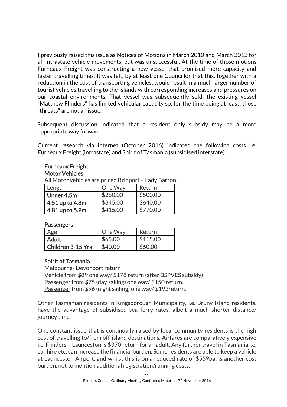I previously raised this issue as Notices of Motions in March 2010 and March 2012 for all intrastate vehicle movements, but was unsuccessful. At the time of those motions Furneaux Freight was constructing a new vessel that promised more capacity and faster travelling times. It was felt, by at least one Councillor that this, together with a reduction in the cost of transporting vehicles, would result in a much larger number of tourist vehicles travelling to the Islands with corresponding increases and pressures on our coastal environments. That vessel was subsequently sold; the existing vessel "Matthew Flinders" has limited vehicular capacity so, for the time being at least, those "threats" are not an issue.

Subsequent discussion indicated that a resident only subsidy may be a more appropriate way forward.

Current research via internet (October 2016) indicated the following costs i.e. Furneaux Freight (intrastate) and Spirit of Tasmania (subsidised interstate).

### Furneaux Freight

#### Motor Vehicles

All Motor vehicles are priced Bridport – Lady Barron.

| Length          | One Way  | Return   |
|-----------------|----------|----------|
| Under 4.5m      | \$280.00 | \$500.00 |
| 4.51 up to 4.8m | \$345.00 | \$640.00 |
| 4.81 up to 5.9m | \$415.00 | \$770.00 |

### **Passengers**

| Age               | One Way | Return   |
|-------------------|---------|----------|
| Adult             | \$65.00 | \$115.00 |
| Children 3-15 Yrs | \$40.00 | \$60.00  |

### Spirit of Tasmania

Melbourne- Devonport return Vehicle from \$89 one way/ \$178 return (after BSPVES subsidy) Passenger from \$75 (day sailing) one way/ \$150 return. Passenger from \$96 (night sailing) one way/ \$192return.

Other Tasmanian residents in Kingsborough Municipality, i.e. Bruny Island residents, have the advantage of subsidised sea ferry rates, albeit a much shorter distance/ journey time.

One constant issue that is continually raised by local community residents is the high cost of travelling to/from off-island destinations. Airfares are comparatively expensive i.e. Flinders – Launceston is \$370 return for an adult. Any further travel in Tasmania i.e. car hire etc. can increase the financial burden. Some residents are able to keep a vehicle at Launceston Airport, and whilst this is on a reduced rate of \$559pa, is another cost burden, not to mention additional registration/running costs.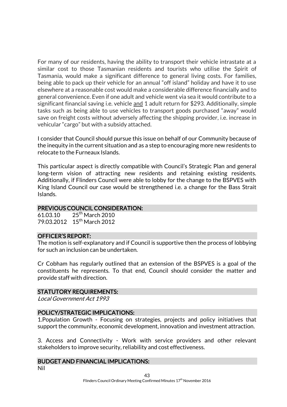For many of our residents, having the ability to transport their vehicle intrastate at a similar cost to those Tasmanian residents and tourists who utilise the Spirit of Tasmania, would make a significant difference to general living costs. For families, being able to pack up their vehicle for an annual "off island" holiday and have it to use elsewhere at a reasonable cost would make a considerable difference financially and to general convenience. Even if one adult and vehicle went via sea it would contribute to a significant financial saving i.e. vehicle and 1 adult return for \$293. Additionally, simple tasks such as being able to use vehicles to transport goods purchased "away" would save on freight costs without adversely affecting the shipping provider, i.e. increase in vehicular "cargo" but with a subsidy attached.

I consider that Council should pursue this issue on behalf of our Community because of the inequity in the current situation and as a step to encouraging more new residents to relocate to the Furneaux Islands.

This particular aspect is directly compatible with Council's Strategic Plan and general long-term vision of attracting new residents and retaining existing residents. Additionally, if Flinders Council were able to lobby for the change to the BSPVES with King Island Council our case would be strengthened i.e. a change for the Bass Strait Islands.

### PREVIOUS COUNCIL CONSIDERATION:

61.03.10 25<sup>th</sup> March 2010 79.03.2012 15<sup>th</sup> March 2012

#### OFFICER'S REPORT:

The motion is self-explanatory and if Council is supportive then the process of lobbying for such an inclusion can be undertaken.

Cr Cobham has regularly outlined that an extension of the BSPVES is a goal of the constituents he represents. To that end, Council should consider the matter and provide staff with direction.

### STATUTORY REQUIREMENTS:

Local Government Act 1993

### POLICY/STRATEGIC IMPLICATIONS:

1.Population Growth - Focusing on strategies, projects and policy initiatives that support the community, economic development, innovation and investment attraction.

3. Access and Connectivity - Work with service providers and other relevant stakeholders to improve security, reliability and cost effectiveness.

#### BUDGET AND FINANCIAL IMPLICATIONS:

Nil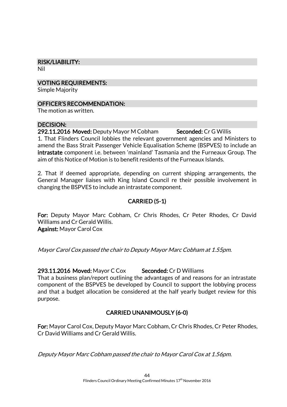## RISK/LIABILITY:

Nil

VOTING REQUIREMENTS:

Simple Majority

### OFFICER'S RECOMMENDATION:

The motion as written.

### DECISION:

292.11.2016 Moved: Deputy Mayor M Cobham Seconded: Cr G Willis 1. That Flinders Council lobbies the relevant government agencies and Ministers to amend the Bass Strait Passenger Vehicle Equalisation Scheme (BSPVES) to include an intrastate component i.e. between 'mainland' Tasmania and the Furneaux Group. The aim of this Notice of Motion is to benefit residents of the Furneaux Islands.

2. That if deemed appropriate, depending on current shipping arrangements, the General Manager liaises with King Island Council re their possible involvement in changing the BSPVES to include an intrastate component.

### CARRIED (5-1)

For: Deputy Mayor Marc Cobham, Cr Chris Rhodes, Cr Peter Rhodes, Cr David Williams and Cr Gerald Willis. Against: Mayor Carol Cox

Mayor Carol Cox passed the chair to Deputy Mayor Marc Cobham at 1.55pm.

293.11.2016 Moved: Mayor C Cox Seconded: Cr D Williams

That a business plan/report outlining the advantages of and reasons for an intrastate component of the BSPVES be developed by Council to support the lobbying process and that a budget allocation be considered at the half yearly budget review for this purpose.

### CARRIED UNANIMOUSLY (6-0)

For: Mayor Carol Cox, Deputy Mayor Marc Cobham, Cr Chris Rhodes, Cr Peter Rhodes, Cr David Williams and Cr Gerald Willis.

Deputy Mayor Marc Cobham passed the chair to Mayor Carol Cox at 1.56pm.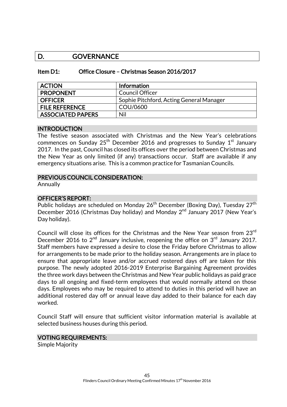### D. GOVERNANCE

| Item D1: | Office Closure - Christmas Season 2016/2017 |  |  |  |
|----------|---------------------------------------------|--|--|--|
|----------|---------------------------------------------|--|--|--|

| <b>ACTION</b>            | Information                              |
|--------------------------|------------------------------------------|
| <b>PROPONENT</b>         | <b>Council Officer</b>                   |
| <b>OFFICER</b>           | Sophie Pitchford, Acting General Manager |
| <b>FILE REFERENCE</b>    | COU/0600                                 |
| <b>ASSOCIATED PAPERS</b> | Nil                                      |

#### INTRODUCTION

The festive season associated with Christmas and the New Year's celebrations commences on Sunday 25<sup>th</sup> December 2016 and progresses to Sunday 1 $^{\rm st}$  January 2017. In the past, Council has closed its offices over the period between Christmas and the New Year as only limited (if any) transactions occur. Staff are available if any emergency situations arise. This is a common practice for Tasmanian Councils.

### PREVIOUS COUNCIL CONSIDERATION:

Annually

### OFFICER'S REPORT:

Public holidays are scheduled on Monday 26<sup>th</sup> December (Boxing Day), Tuesday 27<sup>th</sup> December 2016 (Christmas Day holiday) and Monday 2<sup>nd</sup> January 2017 (New Year's Day holiday).

Council will close its offices for the Christmas and the New Year season from 23rd December 2016 to  $2<sup>nd</sup>$  January inclusive, reopening the office on  $3<sup>rd</sup>$  January 2017. Staff members have expressed a desire to close the Friday before Christmas to allow for arrangements to be made prior to the holiday season. Arrangements are in place to ensure that appropriate leave and/or accrued rostered days off are taken for this purpose. The newly adopted 2016-2019 Enterprise Bargaining Agreement provides the three work days between the Christmas and New Year public holidays as paid grace days to all ongoing and fixed-term employees that would normally attend on those days. Employees who may be required to attend to duties in this period will have an additional rostered day off or annual leave day added to their balance for each day worked.

Council Staff will ensure that sufficient visitor information material is available at selected business houses during this period.

#### VOTING REQUIREMENTS:

Simple Majority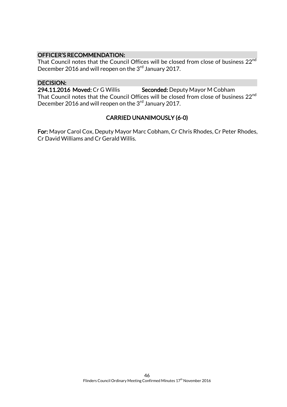### OFFICER'S RECOMMENDATION:

That Council notes that the Council Offices will be closed from close of business 22<sup>nd</sup> December 2016 and will reopen on the 3<sup>rd</sup> January 2017.

### DECISION:

294.11.2016 Moved: Cr G Willis Seconded: Deputy Mayor M Cobham

That Council notes that the Council Offices will be closed from close of business 22<sup>nd</sup> December 2016 and will reopen on the 3<sup>rd</sup> January 2017.

### CARRIED UNANIMOUSLY (6-0)

For: Mayor Carol Cox, Deputy Mayor Marc Cobham, Cr Chris Rhodes, Cr Peter Rhodes, Cr David Williams and Cr Gerald Willis.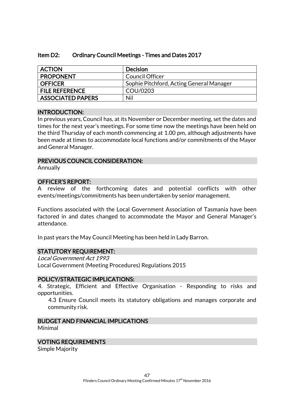| Item D2: | <b>Ordinary Council Meetings - Times and Dates 2017</b> |  |
|----------|---------------------------------------------------------|--|
|          |                                                         |  |

| <b>ACTION</b>            | Decision                                 |
|--------------------------|------------------------------------------|
| <b>PROPONENT</b>         | <b>Council Officer</b>                   |
| <b>OFFICER</b>           | Sophie Pitchford, Acting General Manager |
| <b>FILE REFERENCE</b>    | COU/0203                                 |
| <b>ASSOCIATED PAPERS</b> | Nil                                      |

### INTRODUCTION:

In previous years, Council has, at its November or December meeting, set the dates and times for the next year's meetings. For some time now the meetings have been held on the third Thursday of each month commencing at 1.00 pm, although adjustments have been made at times to accommodate local functions and/or commitments of the Mayor and General Manager.

### PREVIOUS COUNCIL CONSIDERATION:

Annually

### OFFICER'S REPORT:

A review of the forthcoming dates and potential conflicts with other events/meetings/commitments has been undertaken by senior management.

Functions associated with the Local Government Association of Tasmania have been factored in and dates changed to accommodate the Mayor and General Manager's attendance.

In past years the May Council Meeting has been held in Lady Barron.

### STATUTORY REQUIREMENT:

Local Government Act 1993 Local Government (Meeting Procedures) Regulations 2015

### POLICY/STRATEGIC IMPLICATIONS:

4. Strategic, Efficient and Effective Organisation - Responding to risks and opportunities.

4.3 Ensure Council meets its statutory obligations and manages corporate and community risk.

#### BUDGET AND FINANCIAL IMPLICATIONS Minimal

### VOTING REQUIREMENTS

Simple Majority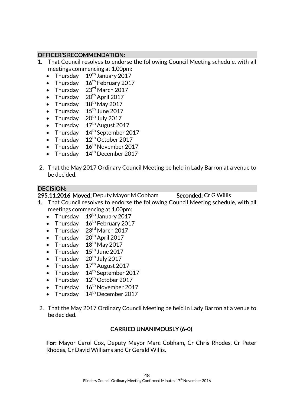### OFFICER'S RECOMMENDATION:

- 1. That Council resolves to endorse the following Council Meeting schedule, with all meetings commencing at 1.00pm:
	- Thursday  $19<sup>th</sup>$  January 2017
	- Thursday  $16^{th}$  February 2017
	- Thursday  $23<sup>rd</sup>$  March 2017
	- Thursday 20<sup>th</sup> April 2017
	- Thursday  $18^{\text{th}}$  May 2017
	- Thursday  $15^{\text{th}}$  June 2017
	- Thursday  $20^{th}$  July 2017
	- Thursday  $17<sup>th</sup>$  August 2017
	- Thursday  $14<sup>th</sup>$  September 2017
	- Thursday  $12<sup>th</sup>$  October 2017
	- Thursday  $16^{th}$  November 2017
	- Thursday 14<sup>th</sup> December 2017
- 2. That the May 2017 Ordinary Council Meeting be held in Lady Barron at a venue to be decided.

### DECISION:

295.11.2016 Moved: Deputy Mayor M Cobham Seconded: Cr G Willis

- 1. That Council resolves to endorse the following Council Meeting schedule, with all meetings commencing at 1.00pm:
	- Thursday  $19<sup>th</sup>$  January 2017
	- Thursday  $16^{th}$  February 2017
	- Thursday  $23^{\text{rd}}$  March 2017
	- Thursday  $20^{th}$  April 2017
	- Thursday  $18^{\text{th}}$  May 2017
	- Thursday  $15^{\text{th}}$  June 2017
	- Thursday  $20^{th}$  July 2017
	- Thursday 17<sup>th</sup> August 2017
	- Thursday  $14<sup>th</sup>$  September 2017
	- Thursday  $12<sup>th</sup>$  October 2017
	- Thursday  $16^{th}$  November 2017
	- Thursday 14<sup>th</sup> December 2017
- 2. That the May 2017 Ordinary Council Meeting be held in Lady Barron at a venue to be decided.

### CARRIED UNANIMOUSLY (6-0)

For: Mayor Carol Cox, Deputy Mayor Marc Cobham, Cr Chris Rhodes, Cr Peter Rhodes, Cr David Williams and Cr Gerald Willis.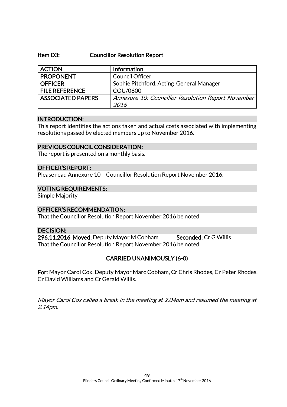#### Item D3: Councillor Resolution Report

| <b>ACTION</b>            | Information                                        |
|--------------------------|----------------------------------------------------|
| <b>PROPONENT</b>         | <b>Council Officer</b>                             |
| <b>OFFICER</b>           | Sophie Pitchford, Acting General Manager           |
| <b>FILE REFERENCE</b>    | COU/0600                                           |
| <b>ASSOCIATED PAPERS</b> | Annexure 10: Councillor Resolution Report November |
|                          | 2016                                               |

#### INTRODUCTION:

This report identifies the actions taken and actual costs associated with implementing resolutions passed by elected members up to November 2016.

### PREVIOUS COUNCIL CONSIDERATION:

The report is presented on a monthly basis.

### OFFICER'S REPORT:

Please read Annexure 10 – Councillor Resolution Report November 2016.

### VOTING REQUIREMENTS:

Simple Majority

### OFFICER'S RECOMMENDATION:

That the Councillor Resolution Report November 2016 be noted.

### DECISION:

296.11.2016 Moved: Deputy Mayor M Cobham Seconded: Cr G Willis That the Councillor Resolution Report November 2016 be noted.

### CARRIED UNANIMOUSLY (6-0)

For: Mayor Carol Cox, Deputy Mayor Marc Cobham, Cr Chris Rhodes, Cr Peter Rhodes, Cr David Williams and Cr Gerald Willis.

Mayor Carol Cox called a break in the meeting at 2.04pm and resumed the meeting at 2.14pm.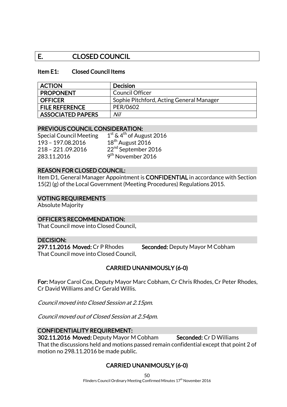### E. CLOSED COUNCIL

### Item E1: Closed Council Items

| <b>ACTION</b>            | <b>Decision</b>                          |
|--------------------------|------------------------------------------|
| <b>PROPONENT</b>         | Council Officer                          |
| <b>OFFICER</b>           | Sophie Pitchford, Acting General Manager |
| <b>FILE REFERENCE</b>    | PER/0602                                 |
| <b>ASSOCIATED PAPERS</b> | Nil                                      |

### PREVIOUS COUNCIL CONSIDERATION:

Special Council Meeting 1 193 - 197.08.2016 18<sup>th</sup> August 2016 283.11.2016 9

 $1<sup>st</sup>$  & 4<sup>th</sup> of August 2016 218 - 221.09.2016 22<sup>nd</sup> September 2016 9<sup>th</sup> November 2016

### REASON FOR CLOSED COUNCIL:

Item D1, General Manager Appointment is CONFIDENTIAL in accordance with Section 15(2) (g) of the Local Government (Meeting Procedures) Regulations 2015.

### VOTING REQUIREMENTS

Absolute Majority

### OFFICER'S RECOMMENDATION:

That Council move into Closed Council.

### DECISION:

297.11.2016 Moved: Cr P Rhodes Seconded: Deputy Mayor M Cobham That Council move into Closed Council.

### CARRIED UNANIMOUSLY (6-0)

For: Mayor Carol Cox, Deputy Mayor Marc Cobham, Cr Chris Rhodes, Cr Peter Rhodes, Cr David Williams and Cr Gerald Willis.

Council moved into Closed Session at 2.15pm.

Council moved out of Closed Session at 2.54pm.

### CONFIDENTIALITY REQUIREMENT:

302.11.2016 Moved: Deputy Mayor M Cobham Seconded: Cr D Williams

That the discussions held and motions passed remain confidential except that point 2 of motion no 298.11.2016 be made public.

### CARRIED UNANIMOUSLY (6-0)

50

Flinders Council Ordinary Meeting Confirmed Minutes  $17<sup>th</sup>$  November 2016